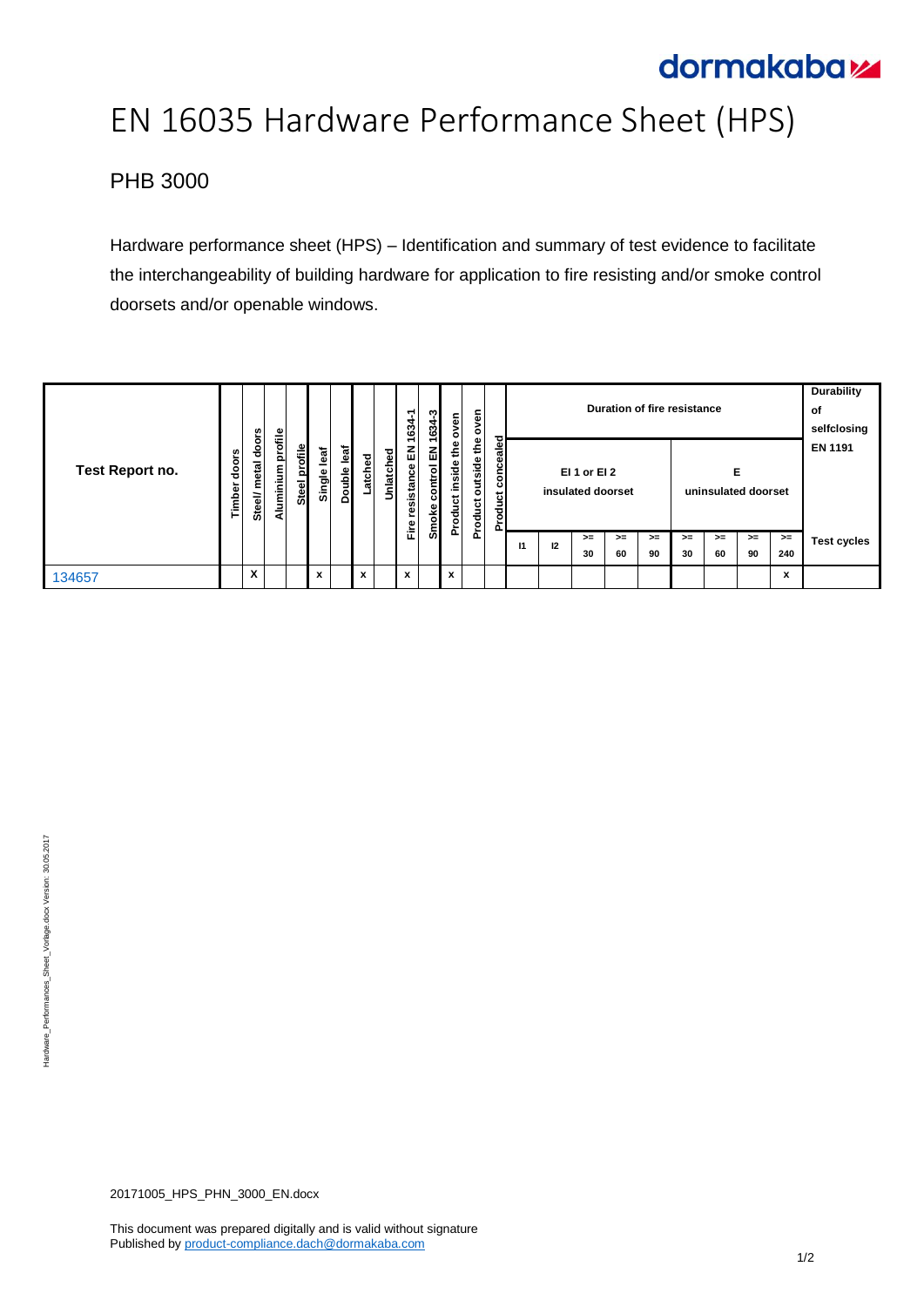# dormakabaz

# EN 16035 Hardware Performance Sheet (HPS)

## PHB 3000

Hardware performance sheet (HPS) – Identification and summary of test evidence to facilitate the interchangeability of building hardware for application to fire resisting and/or smoke control doorsets and/or openable windows.

| Test Report no. |                 | doors<br>metal<br>Steel/ |                   |               |                |             |        |           | ↽<br>634             | ຕ<br>÷<br>ౘ               | oven                                | oven                                          | 73                         | Duration of fire resistance |                                   |            |            |                          |            | <b>Durability</b><br>оf<br>selfclosing |            |                |                    |
|-----------------|-----------------|--------------------------|-------------------|---------------|----------------|-------------|--------|-----------|----------------------|---------------------------|-------------------------------------|-----------------------------------------------|----------------------------|-----------------------------|-----------------------------------|------------|------------|--------------------------|------------|----------------------------------------|------------|----------------|--------------------|
|                 | doors<br>Timber |                          | Aluminium profile | Steel profile | leaf<br>Single | Double leaf | atched | Unlatched | 룹<br>esistance<br>ၜႍ | 몺<br>ontrol<br>ပ<br>Smoke | Φ<br>€<br>side<br>.드<br>پ<br>å<br>ě | Φ<br>€<br>Ф<br>ة.<br>ة<br>ä<br>ಕ<br>э<br>Prod | nceale<br>8<br>ठ<br>۰<br>n |                             | EI 1 or EI 2<br>insulated doorset |            |            | Е<br>uninsulated doorset |            |                                        |            | <b>EN 1191</b> |                    |
|                 |                 |                          |                   |               |                |             |        |           | 证                    |                           |                                     |                                               |                            | $\mathbf{I}$                | 12                                | $>=$<br>30 | $>=$<br>60 | $>=$<br>90               | $>=$<br>30 | $>=$<br>60                             | $>=$<br>90 | $>=$<br>240    | <b>Test cycles</b> |
| 134657          |                 | $\checkmark$<br>Λ        |                   |               | x              |             | x      |           | x                    |                           | x                                   |                                               |                            |                             |                                   |            |            |                          |            |                                        |            | x              |                    |

20171005\_HPS\_PHN\_3000\_EN.docx